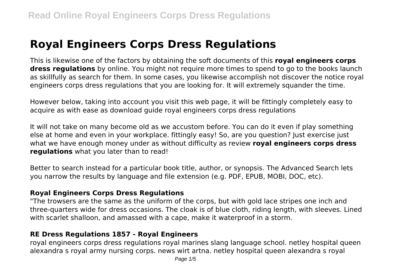# **Royal Engineers Corps Dress Regulations**

This is likewise one of the factors by obtaining the soft documents of this **royal engineers corps dress regulations** by online. You might not require more times to spend to go to the books launch as skillfully as search for them. In some cases, you likewise accomplish not discover the notice royal engineers corps dress regulations that you are looking for. It will extremely squander the time.

However below, taking into account you visit this web page, it will be fittingly completely easy to acquire as with ease as download guide royal engineers corps dress regulations

It will not take on many become old as we accustom before. You can do it even if play something else at home and even in your workplace. fittingly easy! So, are you question? Just exercise just what we have enough money under as without difficulty as review **royal engineers corps dress regulations** what you later than to read!

Better to search instead for a particular book title, author, or synopsis. The Advanced Search lets you narrow the results by language and file extension (e.g. PDF, EPUB, MOBI, DOC, etc).

#### **Royal Engineers Corps Dress Regulations**

"The trowsers are the same as the uniform of the corps, but with gold lace stripes one inch and three-quarters wide for dress occasions. The cloak is of blue cloth, riding length, with sleeves. Lined with scarlet shalloon, and amassed with a cape, make it waterproof in a storm.

## **RE Dress Regulations 1857 - Royal Engineers**

royal engineers corps dress regulations royal marines slang language school. netley hospital queen alexandra s royal army nursing corps. news wirt artna. netley hospital queen alexandra s royal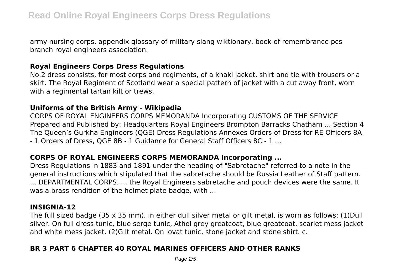army nursing corps. appendix glossary of military slang wiktionary. book of remembrance pcs branch royal engineers association.

## **Royal Engineers Corps Dress Regulations**

No.2 dress consists, for most corps and regiments, of a khaki jacket, shirt and tie with trousers or a skirt. The Royal Regiment of Scotland wear a special pattern of jacket with a cut away front, worn with a regimental tartan kilt or trews.

#### **Uniforms of the British Army - Wikipedia**

CORPS OF ROYAL ENGINEERS CORPS MEMORANDA Incorporating CUSTOMS OF THE SERVICE Prepared and Published by: Headquarters Royal Engineers Brompton Barracks Chatham ... Section 4 The Queen's Gurkha Engineers (QGE) Dress Regulations Annexes Orders of Dress for RE Officers 8A - 1 Orders of Dress, QGE 8B - 1 Guidance for General Staff Officers 8C - 1 ...

# **CORPS OF ROYAL ENGINEERS CORPS MEMORANDA Incorporating ...**

Dress Regulations in 1883 and 1891 under the heading of "Sabretache" referred to a note in the general instructions which stipulated that the sabretache should be Russia Leather of Staff pattern. ... DEPARTMENTAL CORPS. ... the Royal Engineers sabretache and pouch devices were the same. It was a brass rendition of the helmet plate badge, with ...

## **INSIGNIA-12**

The full sized badge (35 x 35 mm), in either dull silver metal or gilt metal, is worn as follows: (1)Dull silver. On full dress tunic, blue serge tunic, Athol grey greatcoat, blue greatcoat, scarlet mess jacket and white mess jacket. (2)Gilt metal. On lovat tunic, stone jacket and stone shirt. c.

# **BR 3 PART 6 CHAPTER 40 ROYAL MARINES OFFICERS AND OTHER RANKS**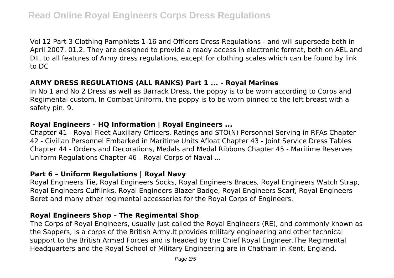Vol 12 Part 3 Clothing Pamphlets 1-16 and Officers Dress Regulations - and will supersede both in April 2007. 01.2. They are designed to provide a ready access in electronic format, both on AEL and DII, to all features of Army dress regulations, except for clothing scales which can be found by link to DC

## **ARMY DRESS REGULATIONS (ALL RANKS) Part 1 ... - Royal Marines**

In No 1 and No 2 Dress as well as Barrack Dress, the poppy is to be worn according to Corps and Regimental custom. In Combat Uniform, the poppy is to be worn pinned to the left breast with a safety pin. 9.

## **Royal Engineers – HQ Information | Royal Engineers ...**

Chapter 41 - Royal Fleet Auxiliary Officers, Ratings and STO(N) Personnel Serving in RFAs Chapter 42 - Civilian Personnel Embarked in Maritime Units Afloat Chapter 43 - Joint Service Dress Tables Chapter 44 - Orders and Decorations, Medals and Medal Ribbons Chapter 45 - Maritime Reserves Uniform Regulations Chapter 46 - Royal Corps of Naval ...

# **Part 6 – Uniform Regulations | Royal Navy**

Royal Engineers Tie, Royal Engineers Socks, Royal Engineers Braces, Royal Engineers Watch Strap, Royal Engineers Cufflinks, Royal Engineers Blazer Badge, Royal Engineers Scarf, Royal Engineers Beret and many other regimental accessories for the Royal Corps of Engineers.

## **Royal Engineers Shop – The Regimental Shop**

The Corps of Royal Engineers, usually just called the Royal Engineers (RE), and commonly known as the Sappers, is a corps of the British Army.It provides military engineering and other technical support to the British Armed Forces and is headed by the Chief Royal Engineer.The Regimental Headquarters and the Royal School of Military Engineering are in Chatham in Kent, England.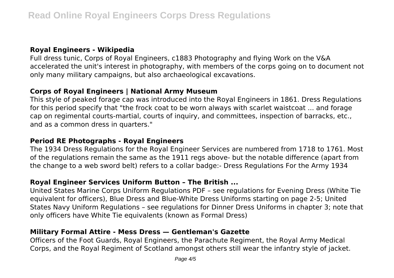# **Royal Engineers - Wikipedia**

Full dress tunic, Corps of Royal Engineers, c1883 Photography and flying Work on the V&A accelerated the unit's interest in photography, with members of the corps going on to document not only many military campaigns, but also archaeological excavations.

## **Corps of Royal Engineers | National Army Museum**

This style of peaked forage cap was introduced into the Royal Engineers in 1861. Dress Regulations for this period specify that "the frock coat to be worn always with scarlet waistcoat ... and forage cap on regimental courts-martial, courts of inquiry, and committees, inspection of barracks, etc., and as a common dress in quarters."

# **Period RE Photographs - Royal Engineers**

The 1934 Dress Regulations for the Royal Engineer Services are numbered from 1718 to 1761. Most of the regulations remain the same as the 1911 regs above- but the notable difference (apart from the change to a web sword belt) refers to a collar badge:- Dress Regulations For the Army 1934

# **Royal Engineer Services Uniform Button – The British ...**

United States Marine Corps Uniform Regulations PDF – see regulations for Evening Dress (White Tie equivalent for officers), Blue Dress and Blue-White Dress Uniforms starting on page 2-5; United States Navy Uniform Regulations – see regulations for Dinner Dress Uniforms in chapter 3; note that only officers have White Tie equivalents (known as Formal Dress)

# **Military Formal Attire - Mess Dress — Gentleman's Gazette**

Officers of the Foot Guards, Royal Engineers, the Parachute Regiment, the Royal Army Medical Corps, and the Royal Regiment of Scotland amongst others still wear the infantry style of jacket.